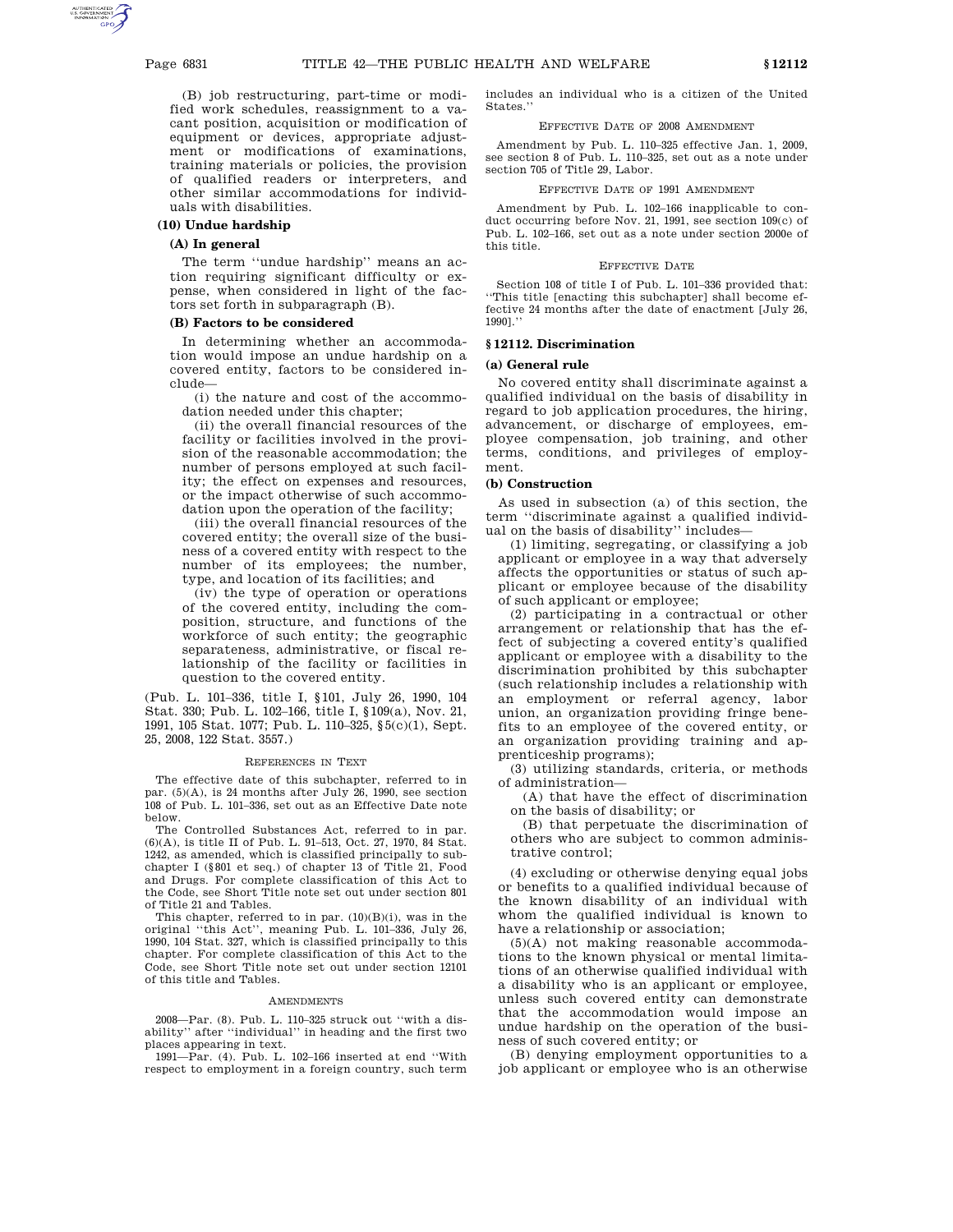(B) job restructuring, part-time or modified work schedules, reassignment to a vacant position, acquisition or modification of equipment or devices, appropriate adjustment or modifications of examinations, training materials or policies, the provision of qualified readers or interpreters, and other similar accommodations for individuals with disabilities.

### **(10) Undue hardship**

### **(A) In general**

The term ''undue hardship'' means an action requiring significant difficulty or expense, when considered in light of the factors set forth in subparagraph (B).

### **(B) Factors to be considered**

In determining whether an accommodation would impose an undue hardship on a covered entity, factors to be considered include—

(i) the nature and cost of the accommodation needed under this chapter;

(ii) the overall financial resources of the facility or facilities involved in the provision of the reasonable accommodation; the number of persons employed at such facility; the effect on expenses and resources, or the impact otherwise of such accommodation upon the operation of the facility;

(iii) the overall financial resources of the covered entity; the overall size of the business of a covered entity with respect to the number of its employees; the number, type, and location of its facilities; and

(iv) the type of operation or operations of the covered entity, including the composition, structure, and functions of the workforce of such entity; the geographic separateness, administrative, or fiscal relationship of the facility or facilities in question to the covered entity.

(Pub. L. 101–336, title I, §101, July 26, 1990, 104 Stat. 330; Pub. L. 102–166, title I, §109(a), Nov. 21, 1991, 105 Stat. 1077; Pub. L. 110–325, §5(c)(1), Sept. 25, 2008, 122 Stat. 3557.)

#### REFERENCES IN TEXT

The effective date of this subchapter, referred to in par.  $(5)(A)$ , is 24 months after July 26, 1990, see section 108 of Pub. L. 101–336, set out as an Effective Date note below.

The Controlled Substances Act, referred to in par. (6)(A), is title II of Pub. L. 91–513, Oct. 27, 1970, 84 Stat. 1242, as amended, which is classified principally to subchapter I (§801 et seq.) of chapter 13 of Title 21, Food and Drugs. For complete classification of this Act to the Code, see Short Title note set out under section 801 of Title 21 and Tables.

This chapter, referred to in par. (10)(B)(i), was in the original ''this Act'', meaning Pub. L. 101–336, July 26, 1990, 104 Stat. 327, which is classified principally to this chapter. For complete classification of this Act to the Code, see Short Title note set out under section 12101 of this title and Tables.

#### **AMENDMENTS**

2008—Par. (8). Pub. L. 110–325 struck out ''with a disability'' after ''individual'' in heading and the first two places appearing in text.

1991—Par. (4). Pub. L. 102–166 inserted at end ''With respect to employment in a foreign country, such term includes an individual who is a citizen of the United States.''

### EFFECTIVE DATE OF 2008 AMENDMENT

Amendment by Pub. L. 110–325 effective Jan. 1, 2009, see section 8 of Pub. L. 110–325, set out as a note under section 705 of Title 29, Labor.

## EFFECTIVE DATE OF 1991 AMENDMENT

Amendment by Pub. L. 102–166 inapplicable to conduct occurring before Nov. 21, 1991, see section 109(c) of Pub. L. 102–166, set out as a note under section 2000e of this title.

### EFFECTIVE DATE

Section 108 of title I of Pub. L. 101–336 provided that: ''This title [enacting this subchapter] shall become effective 24 months after the date of enactment [July 26, 1990].''

# **§ 12112. Discrimination**

#### **(a) General rule**

No covered entity shall discriminate against a qualified individual on the basis of disability in regard to job application procedures, the hiring, advancement, or discharge of employees, employee compensation, job training, and other terms, conditions, and privileges of employment.

### **(b) Construction**

As used in subsection (a) of this section, the term ''discriminate against a qualified individual on the basis of disability'' includes—

(1) limiting, segregating, or classifying a job applicant or employee in a way that adversely affects the opportunities or status of such applicant or employee because of the disability of such applicant or employee;

(2) participating in a contractual or other arrangement or relationship that has the effect of subjecting a covered entity's qualified applicant or employee with a disability to the discrimination prohibited by this subchapter (such relationship includes a relationship with an employment or referral agency, labor union, an organization providing fringe benefits to an employee of the covered entity, or an organization providing training and apprenticeship programs);

(3) utilizing standards, criteria, or methods of administration—

(A) that have the effect of discrimination on the basis of disability; or

(B) that perpetuate the discrimination of others who are subject to common administrative control;

(4) excluding or otherwise denying equal jobs or benefits to a qualified individual because of the known disability of an individual with whom the qualified individual is known to have a relationship or association;

(5)(A) not making reasonable accommodations to the known physical or mental limitations of an otherwise qualified individual with a disability who is an applicant or employee, unless such covered entity can demonstrate that the accommodation would impose an undue hardship on the operation of the business of such covered entity; or

(B) denying employment opportunities to a job applicant or employee who is an otherwise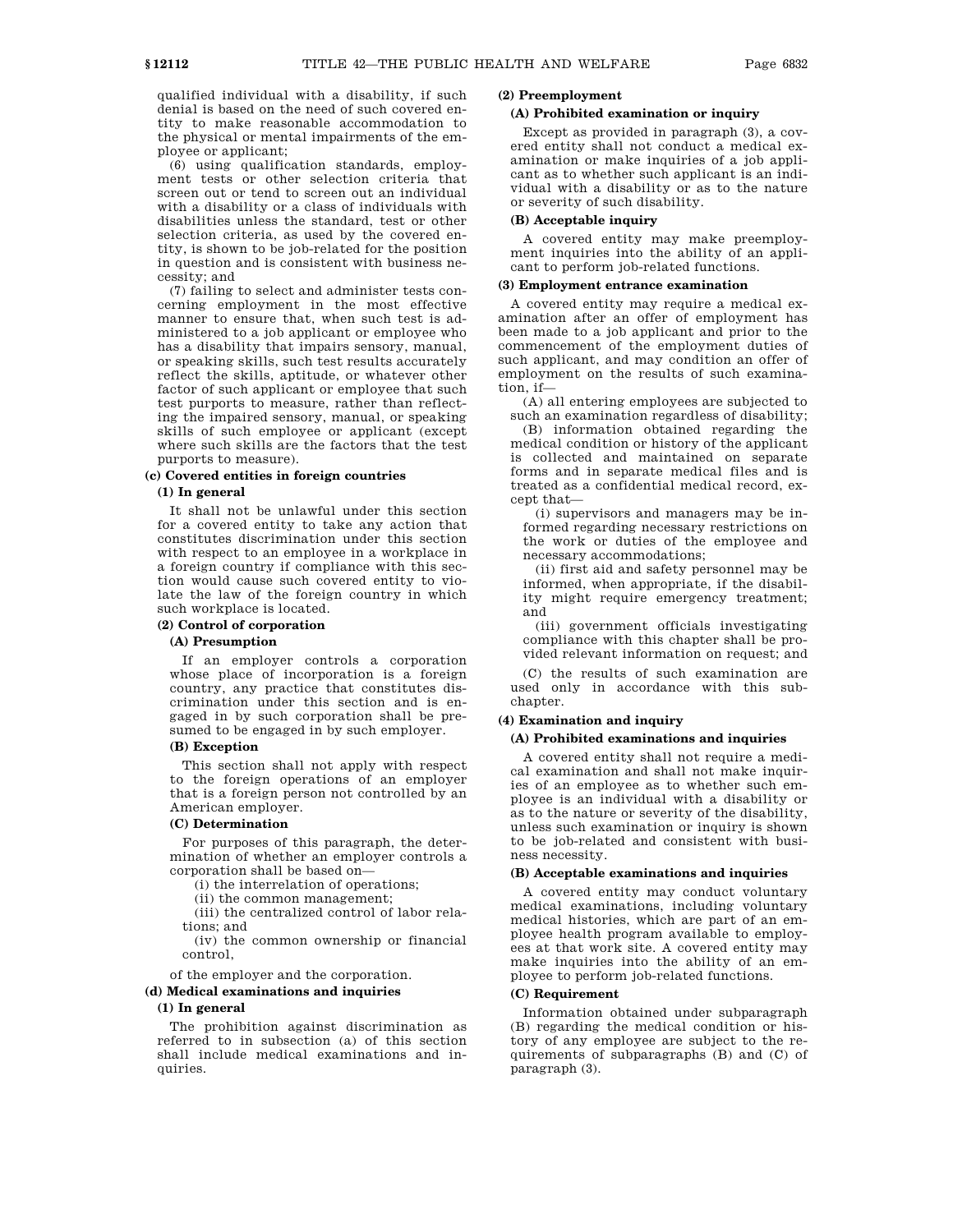qualified individual with a disability, if such denial is based on the need of such covered entity to make reasonable accommodation to the physical or mental impairments of the employee or applicant;

(6) using qualification standards, employment tests or other selection criteria that screen out or tend to screen out an individual with a disability or a class of individuals with disabilities unless the standard, test or other selection criteria, as used by the covered entity, is shown to be job-related for the position in question and is consistent with business necessity; and

(7) failing to select and administer tests concerning employment in the most effective manner to ensure that, when such test is administered to a job applicant or employee who has a disability that impairs sensory, manual, or speaking skills, such test results accurately reflect the skills, aptitude, or whatever other factor of such applicant or employee that such test purports to measure, rather than reflecting the impaired sensory, manual, or speaking skills of such employee or applicant (except where such skills are the factors that the test purports to measure).

### **(c) Covered entities in foreign countries**

### **(1) In general**

It shall not be unlawful under this section for a covered entity to take any action that constitutes discrimination under this section with respect to an employee in a workplace in a foreign country if compliance with this section would cause such covered entity to violate the law of the foreign country in which such workplace is located.

# **(2) Control of corporation**

# **(A) Presumption**

If an employer controls a corporation whose place of incorporation is a foreign country, any practice that constitutes discrimination under this section and is engaged in by such corporation shall be presumed to be engaged in by such employer.

## **(B) Exception**

This section shall not apply with respect to the foreign operations of an employer that is a foreign person not controlled by an American employer.

### **(C) Determination**

For purposes of this paragraph, the determination of whether an employer controls a corporation shall be based on—

(i) the interrelation of operations;

(ii) the common management;

(iii) the centralized control of labor relations; and

(iv) the common ownership or financial control,

of the employer and the corporation.

**(d) Medical examinations and inquiries**

## **(1) In general**

The prohibition against discrimination as referred to in subsection (a) of this section shall include medical examinations and inquiries.

# **(2) Preemployment**

## **(A) Prohibited examination or inquiry**

Except as provided in paragraph (3), a covered entity shall not conduct a medical examination or make inquiries of a job applicant as to whether such applicant is an individual with a disability or as to the nature or severity of such disability.

# **(B) Acceptable inquiry**

A covered entity may make preemployment inquiries into the ability of an applicant to perform job-related functions.

### **(3) Employment entrance examination**

A covered entity may require a medical examination after an offer of employment has been made to a job applicant and prior to the commencement of the employment duties of such applicant, and may condition an offer of employment on the results of such examination, if—

(A) all entering employees are subjected to such an examination regardless of disability;

(B) information obtained regarding the medical condition or history of the applicant is collected and maintained on separate forms and in separate medical files and is treated as a confidential medical record, except that—

(i) supervisors and managers may be informed regarding necessary restrictions on the work or duties of the employee and necessary accommodations;

(ii) first aid and safety personnel may be informed, when appropriate, if the disability might require emergency treatment; and

(iii) government officials investigating compliance with this chapter shall be provided relevant information on request; and

(C) the results of such examination are used only in accordance with this subchapter.

## **(4) Examination and inquiry**

#### **(A) Prohibited examinations and inquiries**

A covered entity shall not require a medical examination and shall not make inquiries of an employee as to whether such employee is an individual with a disability or as to the nature or severity of the disability, unless such examination or inquiry is shown to be job-related and consistent with business necessity.

### **(B) Acceptable examinations and inquiries**

A covered entity may conduct voluntary medical examinations, including voluntary medical histories, which are part of an employee health program available to employees at that work site. A covered entity may make inquiries into the ability of an employee to perform job-related functions.

### **(C) Requirement**

Information obtained under subparagraph (B) regarding the medical condition or history of any employee are subject to the requirements of subparagraphs (B) and (C) of paragraph (3).